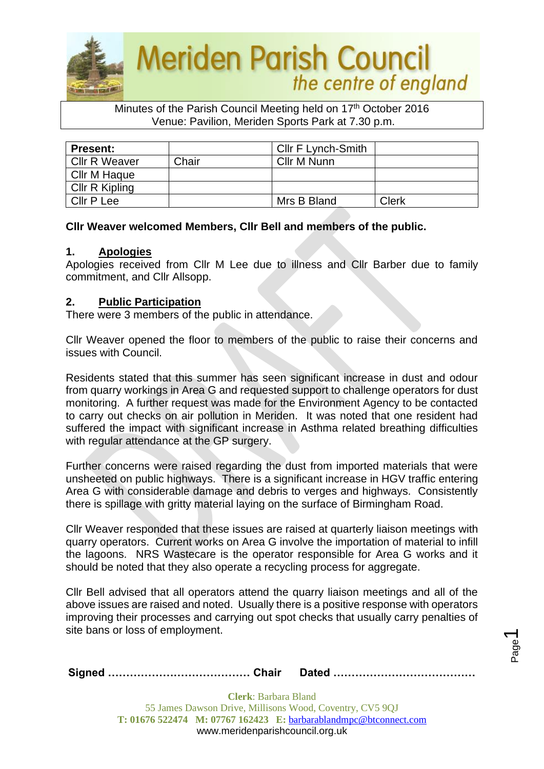

#### Minutes of the Parish Council Meeting held on 17<sup>th</sup> October 2016 Venue: Pavilion, Meriden Sports Park at 7.30 p.m.

| <b>Present:</b>      |       | Cllr F Lynch-Smith |       |
|----------------------|-------|--------------------|-------|
| <b>Cllr R Weaver</b> | Chair | Cllr M Nunn        |       |
| Cllr M Haque         |       |                    |       |
| Cllr R Kipling       |       |                    |       |
| Cllr P Lee           |       | Mrs B Bland        | Clerk |

### **Cllr Weaver welcomed Members, Cllr Bell and members of the public.**

#### **1. Apologies**

Apologies received from Cllr M Lee due to illness and Cllr Barber due to family commitment, and Cllr Allsopp.

### **2. Public Participation**

There were 3 members of the public in attendance.

Cllr Weaver opened the floor to members of the public to raise their concerns and issues with Council.

Residents stated that this summer has seen significant increase in dust and odour from quarry workings in Area G and requested support to challenge operators for dust monitoring. A further request was made for the Environment Agency to be contacted to carry out checks on air pollution in Meriden. It was noted that one resident had suffered the impact with significant increase in Asthma related breathing difficulties with regular attendance at the GP surgery.

Further concerns were raised regarding the dust from imported materials that were unsheeted on public highways. There is a significant increase in HGV traffic entering Area G with considerable damage and debris to verges and highways. Consistently there is spillage with gritty material laying on the surface of Birmingham Road.

Cllr Weaver responded that these issues are raised at quarterly liaison meetings with quarry operators. Current works on Area G involve the importation of material to infill the lagoons. NRS Wastecare is the operator responsible for Area G works and it should be noted that they also operate a recycling process for aggregate.

Cllr Bell advised that all operators attend the quarry liaison meetings and all of the above issues are raised and noted. Usually there is a positive response with operators improving their processes and carrying out spot checks that usually carry penalties of site bans or loss of employment.

|--|--|--|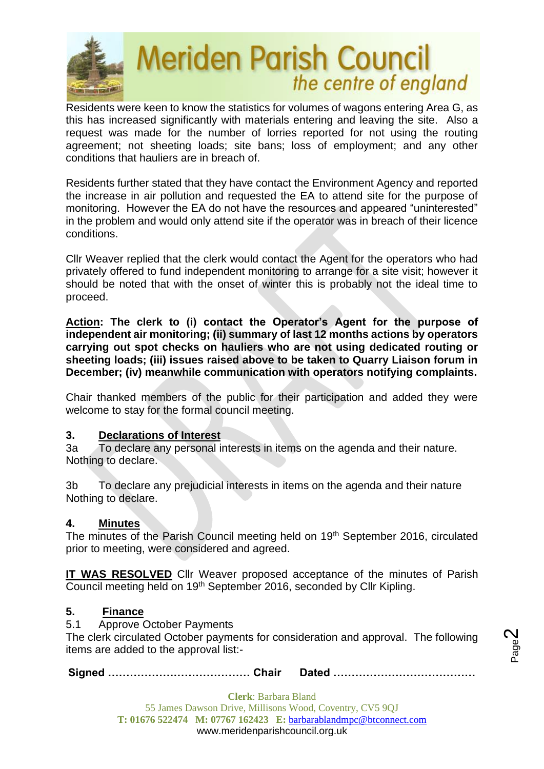

Residents were keen to know the statistics for volumes of wagons entering Area G, as this has increased significantly with materials entering and leaving the site. Also a request was made for the number of lorries reported for not using the routing agreement; not sheeting loads; site bans; loss of employment; and any other conditions that hauliers are in breach of.

Residents further stated that they have contact the Environment Agency and reported the increase in air pollution and requested the EA to attend site for the purpose of monitoring. However the EA do not have the resources and appeared "uninterested" in the problem and would only attend site if the operator was in breach of their licence conditions.

Cllr Weaver replied that the clerk would contact the Agent for the operators who had privately offered to fund independent monitoring to arrange for a site visit; however it should be noted that with the onset of winter this is probably not the ideal time to proceed.

**Action: The clerk to (i) contact the Operator's Agent for the purpose of independent air monitoring; (ii) summary of last 12 months actions by operators carrying out spot checks on hauliers who are not using dedicated routing or sheeting loads; (iii) issues raised above to be taken to Quarry Liaison forum in December; (iv) meanwhile communication with operators notifying complaints.**

Chair thanked members of the public for their participation and added they were welcome to stay for the formal council meeting.

## **3. Declarations of Interest**

3a To declare any personal interests in items on the agenda and their nature. Nothing to declare.

3b To declare any prejudicial interests in items on the agenda and their nature Nothing to declare.

### **4. Minutes**

The minutes of the Parish Council meeting held on 19<sup>th</sup> September 2016, circulated prior to meeting, were considered and agreed.

**IT WAS RESOLVED** Cllr Weaver proposed acceptance of the minutes of Parish Council meeting held on 19th September 2016, seconded by Cllr Kipling.

### **5. Finance**

5.1 Approve October Payments

The clerk circulated October payments for consideration and approval. The following items are added to the approval list:-

**Signed ………………………………… Chair Dated …………………………………**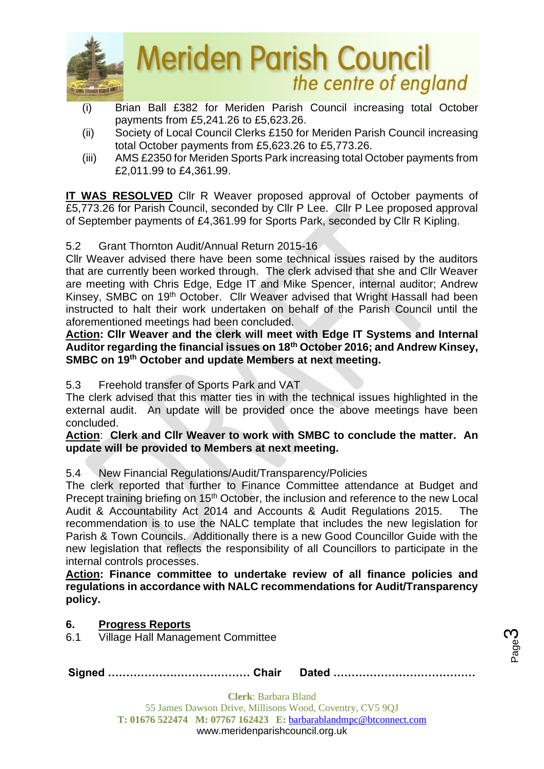

- (i) Brian Ball £382 for Meriden Parish Council increasing total October payments from £5,241.26 to £5,623.26.
- (ii) Society of Local Council Clerks £150 for Meriden Parish Council increasing total October payments from £5,623.26 to £5,773.26.
- (iii) AMS £2350 for Meriden Sports Park increasing total October payments from £2,011.99 to £4,361.99.

**IT WAS RESOLVED** Cllr R Weaver proposed approval of October payments of £5,773.26 for Parish Council, seconded by Cllr P Lee. Cllr P Lee proposed approval of September payments of £4,361.99 for Sports Park, seconded by Cllr R Kipling.

## 5.2 Grant Thornton Audit/Annual Return 2015-16

Cllr Weaver advised there have been some technical issues raised by the auditors that are currently been worked through. The clerk advised that she and Cllr Weaver are meeting with Chris Edge, Edge IT and Mike Spencer, internal auditor; Andrew Kinsey, SMBC on 19th October. Cllr Weaver advised that Wright Hassall had been instructed to halt their work undertaken on behalf of the Parish Council until the aforementioned meetings had been concluded.

**Action: Cllr Weaver and the clerk will meet with Edge IT Systems and Internal Auditor regarding the financial issues on 18th October 2016; and Andrew Kinsey, SMBC on 19th October and update Members at next meeting.**

5.3 Freehold transfer of Sports Park and VAT

The clerk advised that this matter ties in with the technical issues highlighted in the external audit. An update will be provided once the above meetings have been concluded.

### **Action**: **Clerk and Cllr Weaver to work with SMBC to conclude the matter. An update will be provided to Members at next meeting.**

## 5.4 New Financial Regulations/Audit/Transparency/Policies

The clerk reported that further to Finance Committee attendance at Budget and Precept training briefing on 15<sup>th</sup> October, the inclusion and reference to the new Local Audit & Accountability Act 2014 and Accounts & Audit Regulations 2015. The recommendation is to use the NALC template that includes the new legislation for Parish & Town Councils. Additionally there is a new Good Councillor Guide with the new legislation that reflects the responsibility of all Councillors to participate in the internal controls processes.

**Action: Finance committee to undertake review of all finance policies and regulations in accordance with NALC recommendations for Audit/Transparency policy.**

## **6. Progress Reports**

6.1 Village Hall Management Committee

|--|--|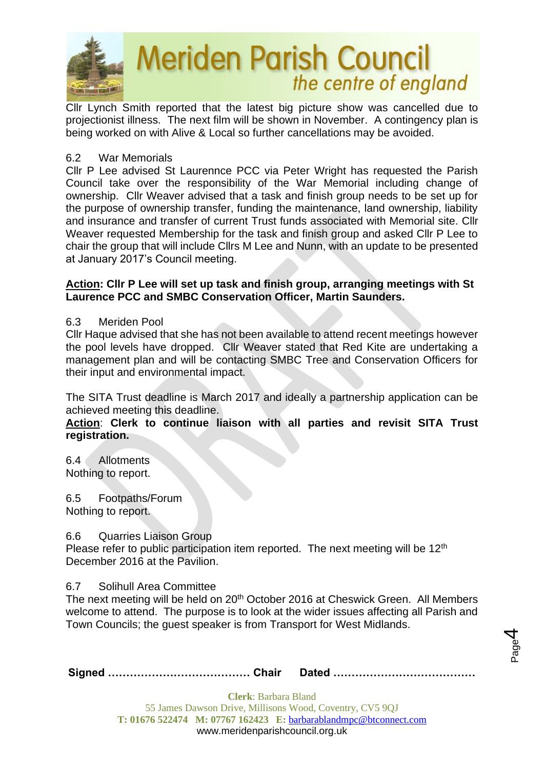

Cllr Lynch Smith reported that the latest big picture show was cancelled due to projectionist illness. The next film will be shown in November. A contingency plan is being worked on with Alive & Local so further cancellations may be avoided.

### 6.2 War Memorials

Cllr P Lee advised St Laurennce PCC via Peter Wright has requested the Parish Council take over the responsibility of the War Memorial including change of ownership. Cllr Weaver advised that a task and finish group needs to be set up for the purpose of ownership transfer, funding the maintenance, land ownership, liability and insurance and transfer of current Trust funds associated with Memorial site. Cllr Weaver requested Membership for the task and finish group and asked Cllr P Lee to chair the group that will include Cllrs M Lee and Nunn, with an update to be presented at January 2017's Council meeting.

### **Action: Cllr P Lee will set up task and finish group, arranging meetings with St Laurence PCC and SMBC Conservation Officer, Martin Saunders.**

### 6.3 Meriden Pool

Cllr Haque advised that she has not been available to attend recent meetings however the pool levels have dropped. Cllr Weaver stated that Red Kite are undertaking a management plan and will be contacting SMBC Tree and Conservation Officers for their input and environmental impact.

The SITA Trust deadline is March 2017 and ideally a partnership application can be achieved meeting this deadline.

**Action**: **Clerk to continue liaison with all parties and revisit SITA Trust registration.**

6.4 Allotments Nothing to report.

6.5 Footpaths/Forum Nothing to report.

6.6 Quarries Liaison Group

Please refer to public participation item reported. The next meeting will be 12<sup>th</sup> December 2016 at the Pavilion.

### 6.7 Solihull Area Committee

The next meeting will be held on 20<sup>th</sup> October 2016 at Cheswick Green. All Members welcome to attend. The purpose is to look at the wider issues affecting all Parish and Town Councils; the guest speaker is from Transport for West Midlands.

|--|--|--|

Page 4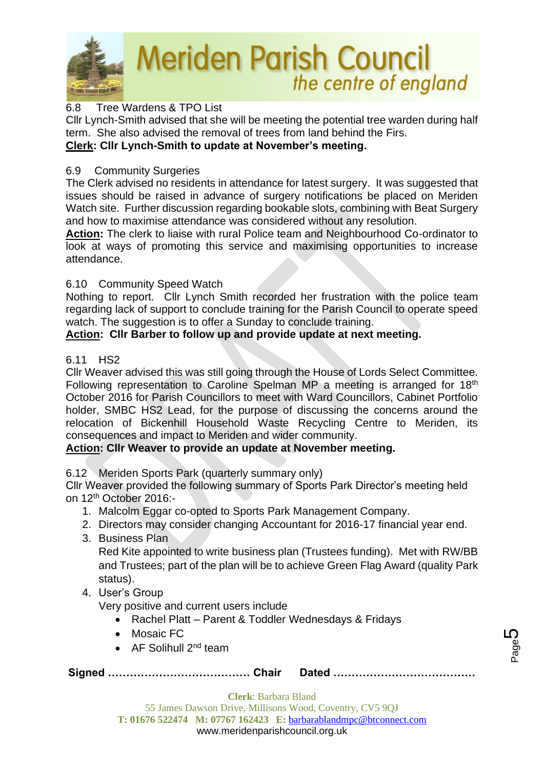

## 6.8 Tree Wardens & TPO List

Cllr Lynch-Smith advised that she will be meeting the potential tree warden during half term. She also advised the removal of trees from land behind the Firs. **Clerk: Cllr Lynch-Smith to update at November's meeting.**

### 6.9 Community Surgeries

The Clerk advised no residents in attendance for latest surgery. It was suggested that issues should be raised in advance of surgery notifications be placed on Meriden Watch site. Further discussion regarding bookable slots, combining with Beat Surgery and how to maximise attendance was considered without any resolution.

**Action:** The clerk to liaise with rural Police team and Neighbourhood Co-ordinator to look at ways of promoting this service and maximising opportunities to increase attendance.

### 6.10 Community Speed Watch

Nothing to report. Cllr Lynch Smith recorded her frustration with the police team regarding lack of support to conclude training for the Parish Council to operate speed watch. The suggestion is to offer a Sunday to conclude training.

## **Action: Cllr Barber to follow up and provide update at next meeting.**

### 6.11 HS2

Cllr Weaver advised this was still going through the House of Lords Select Committee. Following representation to Caroline Spelman MP a meeting is arranged for 18th October 2016 for Parish Councillors to meet with Ward Councillors, Cabinet Portfolio holder, SMBC HS2 Lead, for the purpose of discussing the concerns around the relocation of Bickenhill Household Waste Recycling Centre to Meriden, its consequences and impact to Meriden and wider community.

## **Action: Cllr Weaver to provide an update at November meeting.**

6.12 Meriden Sports Park (quarterly summary only)

Cllr Weaver provided the following summary of Sports Park Director's meeting held on 12th October 2016:-

- 1. Malcolm Eggar co-opted to Sports Park Management Company.
- 2. Directors may consider changing Accountant for 2016-17 financial year end.
- 3. Business Plan

Red Kite appointed to write business plan (Trustees funding). Met with RW/BB and Trustees; part of the plan will be to achieve Green Flag Award (quality Park status).

4. User's Group

Very positive and current users include

- Rachel Platt Parent & Toddler Wednesdays & Fridays
- Mosaic FC
- AF Solihull 2<sup>nd</sup> team

**Signed ………………………………… Chair Dated …………………………………**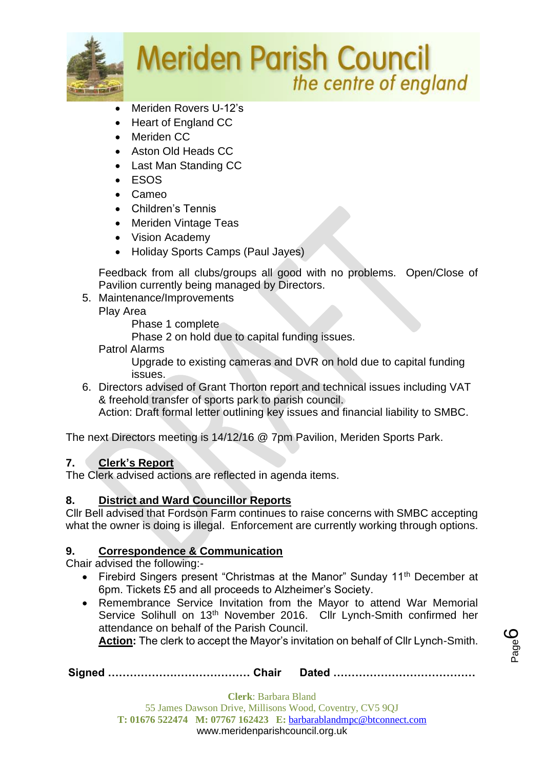

- Meriden Rovers U-12's
- Heart of England CC
- Meriden CC
- Aston Old Heads CC
- Last Man Standing CC
- ESOS
- Cameo
- Children's Tennis
- Meriden Vintage Teas
- Vision Academy
- Holiday Sports Camps (Paul Jayes)

Feedback from all clubs/groups all good with no problems. Open/Close of Pavilion currently being managed by Directors.

5. Maintenance/Improvements

Play Area

Phase 1 complete

Phase 2 on hold due to capital funding issues.

Patrol Alarms

Upgrade to existing cameras and DVR on hold due to capital funding issues.

6. Directors advised of Grant Thorton report and technical issues including VAT & freehold transfer of sports park to parish council.

Action: Draft formal letter outlining key issues and financial liability to SMBC.

The next Directors meeting is 14/12/16 @ 7pm Pavilion, Meriden Sports Park.

## **7. Clerk's Report**

The Clerk advised actions are reflected in agenda items.

## **8. District and Ward Councillor Reports**

Cllr Bell advised that Fordson Farm continues to raise concerns with SMBC accepting what the owner is doing is illegal. Enforcement are currently working through options.

## **9. Correspondence & Communication**

Chair advised the following:-

- Firebird Singers present "Christmas at the Manor" Sunday 11<sup>th</sup> December at 6pm. Tickets £5 and all proceeds to Alzheimer's Society.
- Remembrance Service Invitation from the Mayor to attend War Memorial Service Solihull on 13<sup>th</sup> November 2016. Cllr Lynch-Smith confirmed her attendance on behalf of the Parish Council.

**Action:** The clerk to accept the Mayor's invitation on behalf of Cllr Lynch-Smith.

**Signed ………………………………… Chair Dated …………………………………**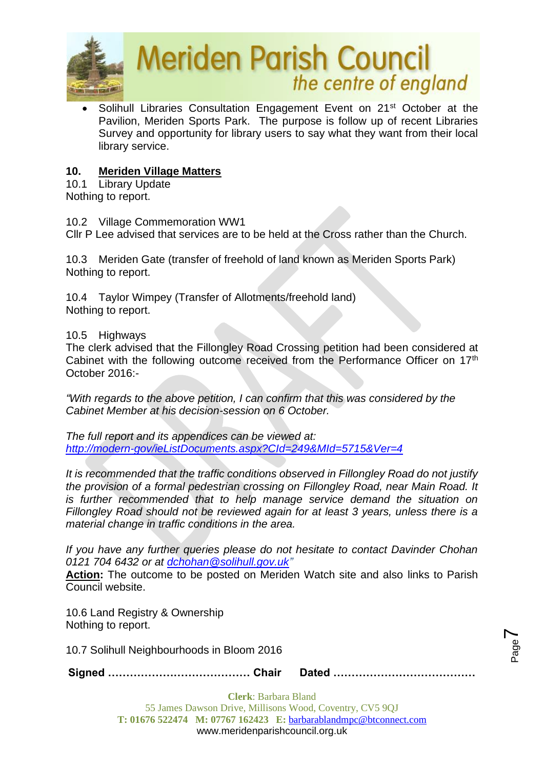

Solihull Libraries Consultation Engagement Event on 21<sup>st</sup> October at the Pavilion, Meriden Sports Park. The purpose is follow up of recent Libraries Survey and opportunity for library users to say what they want from their local library service.

## **10. Meriden Village Matters**

10.1 Library Update Nothing to report.

10.2 Village Commemoration WW1

Cllr P Lee advised that services are to be held at the Cross rather than the Church.

10.3 Meriden Gate (transfer of freehold of land known as Meriden Sports Park) Nothing to report.

10.4 Taylor Wimpey (Transfer of Allotments/freehold land) Nothing to report.

### 10.5 Highways

The clerk advised that the Fillongley Road Crossing petition had been considered at Cabinet with the following outcome received from the Performance Officer on 17<sup>th</sup> October 2016:-

*"With regards to the above petition, I can confirm that this was considered by the Cabinet Member at his decision-session on 6 October.*

*The full report and its appendices can be viewed at: <http://modern-gov/ieListDocuments.aspx?CId=249&MId=5715&Ver=4>*

*It is recommended that the traffic conditions observed in Fillongley Road do not justify the provision of a formal pedestrian crossing on Fillongley Road, near Main Road. It is further recommended that to help manage service demand the situation on Fillongley Road should not be reviewed again for at least 3 years, unless there is a material change in traffic conditions in the area.*

*If you have any further queries please do not hesitate to contact Davinder Chohan 0121 704 6432 or at [dchohan@solihull.gov.uk"](mailto:dchohan@solihull.gov.uk)*

**Action:** The outcome to be posted on Meriden Watch site and also links to Parish Council website.

10.6 Land Registry & Ownership Nothing to report.

10.7 Solihull Neighbourhoods in Bloom 2016

**Signed ………………………………… Chair Dated …………………………………**

Page  $\blacktriangleright$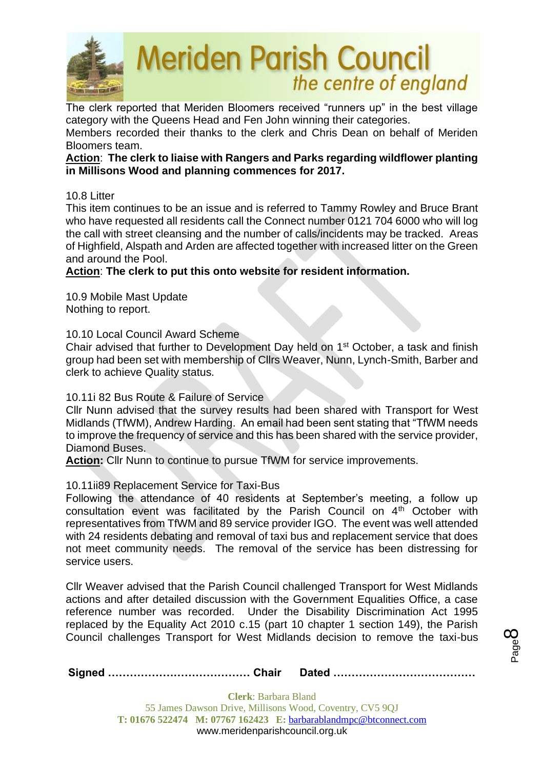

The clerk reported that Meriden Bloomers received "runners up" in the best village category with the Queens Head and Fen John winning their categories.

Members recorded their thanks to the clerk and Chris Dean on behalf of Meriden Bloomers team.

### **Action**: **The clerk to liaise with Rangers and Parks regarding wildflower planting in Millisons Wood and planning commences for 2017.**

### 10.8 Litter

This item continues to be an issue and is referred to Tammy Rowley and Bruce Brant who have requested all residents call the Connect number 0121 704 6000 who will log the call with street cleansing and the number of calls/incidents may be tracked. Areas of Highfield, Alspath and Arden are affected together with increased litter on the Green and around the Pool.

### **Action**: **The clerk to put this onto website for resident information.**

10.9 Mobile Mast Update Nothing to report.

10.10 Local Council Award Scheme

Chair advised that further to Development Day held on 1st October, a task and finish group had been set with membership of Cllrs Weaver, Nunn, Lynch-Smith, Barber and clerk to achieve Quality status.

10.11i 82 Bus Route & Failure of Service

Cllr Nunn advised that the survey results had been shared with Transport for West Midlands (TfWM), Andrew Harding. An email had been sent stating that "TfWM needs to improve the frequency of service and this has been shared with the service provider, Diamond Buses.

**Action:** Cllr Nunn to continue to pursue TfWM for service improvements.

### 10.11ii89 Replacement Service for Taxi-Bus

Following the attendance of 40 residents at September's meeting, a follow up consultation event was facilitated by the Parish Council on  $4<sup>th</sup>$  October with representatives from TfWM and 89 service provider IGO. The event was well attended with 24 residents debating and removal of taxi bus and replacement service that does not meet community needs. The removal of the service has been distressing for service users.

Cllr Weaver advised that the Parish Council challenged Transport for West Midlands actions and after detailed discussion with the Government Equalities Office, a case reference number was recorded. Under the Disability Discrimination Act 1995 replaced by the Equality Act 2010 c.15 (part 10 chapter 1 section 149), the Parish Council challenges Transport for West Midlands decision to remove the taxi-bus

**Signed ………………………………… Chair Dated …………………………………**

Page  $\infty$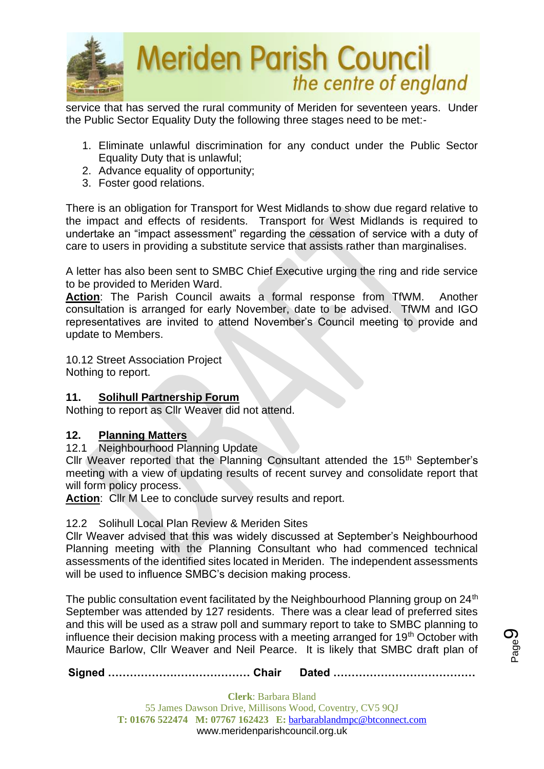

service that has served the rural community of Meriden for seventeen years. Under the Public Sector Equality Duty the following three stages need to be met:-

- 1. Eliminate unlawful discrimination for any conduct under the Public Sector Equality Duty that is unlawful;
- 2. Advance equality of opportunity;
- 3. Foster good relations.

There is an obligation for Transport for West Midlands to show due regard relative to the impact and effects of residents. Transport for West Midlands is required to undertake an "impact assessment" regarding the cessation of service with a duty of care to users in providing a substitute service that assists rather than marginalises.

A letter has also been sent to SMBC Chief Executive urging the ring and ride service to be provided to Meriden Ward.

**Action**: The Parish Council awaits a formal response from TfWM. Another consultation is arranged for early November, date to be advised. TfWM and IGO representatives are invited to attend November's Council meeting to provide and update to Members.

10.12 Street Association Project Nothing to report.

### **11. Solihull Partnership Forum**

Nothing to report as Cllr Weaver did not attend.

### **12. Planning Matters**

12.1 Neighbourhood Planning Update

Cllr Weaver reported that the Planning Consultant attended the 15<sup>th</sup> September's meeting with a view of updating results of recent survey and consolidate report that will form policy process.

**Action**: Cllr M Lee to conclude survey results and report.

### 12.2 Solihull Local Plan Review & Meriden Sites

Cllr Weaver advised that this was widely discussed at September's Neighbourhood Planning meeting with the Planning Consultant who had commenced technical assessments of the identified sites located in Meriden. The independent assessments will be used to influence SMBC's decision making process.

The public consultation event facilitated by the Neighbourhood Planning group on 24<sup>th</sup> September was attended by 127 residents. There was a clear lead of preferred sites and this will be used as a straw poll and summary report to take to SMBC planning to influence their decision making process with a meeting arranged for 19<sup>th</sup> October with Maurice Barlow, Cllr Weaver and Neil Pearce. It is likely that SMBC draft plan of

**Signed ………………………………… Chair Dated …………………………………**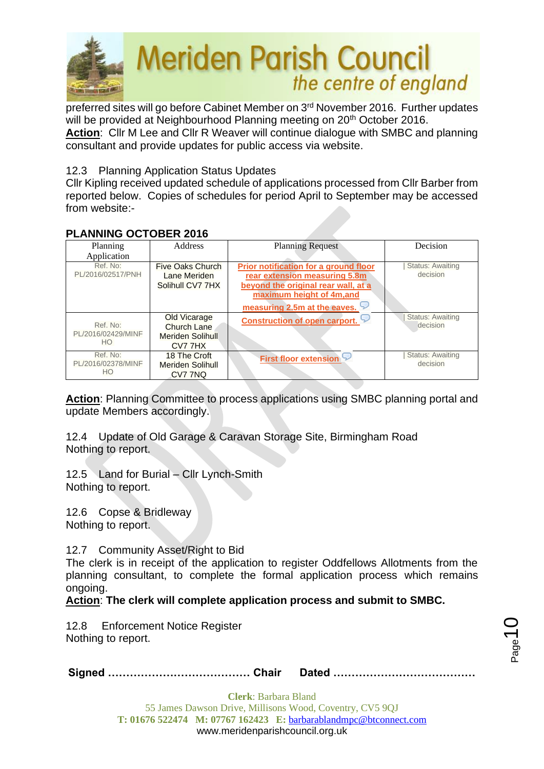

preferred sites will go before Cabinet Member on 3rd November 2016. Further updates will be provided at Neighbourhood Planning meeting on 20<sup>th</sup> October 2016. **Action**: Cllr M Lee and Cllr R Weaver will continue dialogue with SMBC and planning consultant and provide updates for public access via website.

### 12.3 Planning Application Status Updates

Cllr Kipling received updated schedule of applications processed from Cllr Barber from reported below. Copies of schedules for period April to September may be accessed from website:-

### **PLANNING OCTOBER 2016**

| Planning           | Address                 | <b>Planning Request</b>               | Decision                |
|--------------------|-------------------------|---------------------------------------|-------------------------|
| Application        |                         |                                       |                         |
| Ref. No:           | Five Oaks Church        | Prior notification for a ground floor | <b>Status: Awaiting</b> |
| PL/2016/02517/PNH  | Lane Meriden            | rear extension measuring 5.8m         | decision                |
|                    | Solihull CV7 7HX        | beyond the original rear wall, at a   |                         |
|                    |                         | maximum height of 4m, and             |                         |
|                    |                         | measuring 2.5m at the eaves.          |                         |
|                    | <b>Old Vicarage</b>     | <b>Construction of open carport.</b>  | <b>Status: Awaiting</b> |
| Ref. No:           | <b>Church Lane</b>      |                                       | decision                |
| PL/2016/02429/MINF | <b>Meriden Solihull</b> |                                       |                         |
| HO.                | CV7 7HX                 |                                       |                         |
| Ref. No:           | 18 The Croft            | <b>First floor extension</b>          | <b>Status: Awaiting</b> |
| PL/2016/02378/MINF | <b>Meriden Solihull</b> |                                       | decision                |
| HO                 | CV7 7NQ                 |                                       |                         |

**Action**: Planning Committee to process applications using SMBC planning portal and update Members accordingly.

12.4 Update of Old Garage & Caravan Storage Site, Birmingham Road Nothing to report.

12.5 Land for Burial – Cllr Lynch-Smith Nothing to report.

12.6 Copse & Bridleway Nothing to report.

12.7 Community Asset/Right to Bid

The clerk is in receipt of the application to register Oddfellows Allotments from the planning consultant, to complete the formal application process which remains ongoing.

**Action**: **The clerk will complete application process and submit to SMBC.**

12.8 Enforcement Notice Register Nothing to report.

|--|--|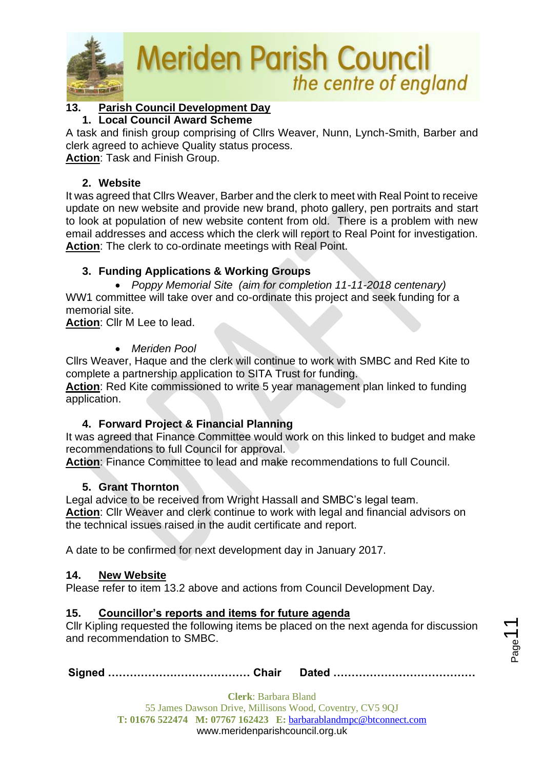

## **13. Parish Council Development Day**

### **1. Local Council Award Scheme**

A task and finish group comprising of Cllrs Weaver, Nunn, Lynch-Smith, Barber and clerk agreed to achieve Quality status process.

**Action**: Task and Finish Group.

### **2. Website**

It was agreed that Cllrs Weaver, Barber and the clerk to meet with Real Point to receive update on new website and provide new brand, photo gallery, pen portraits and start to look at population of new website content from old. There is a problem with new email addresses and access which the clerk will report to Real Point for investigation. **Action**: The clerk to co-ordinate meetings with Real Point.

## **3. Funding Applications & Working Groups**

• *Poppy Memorial Site (aim for completion 11-11-2018 centenary)* WW1 committee will take over and co-ordinate this project and seek funding for a memorial site.

**Action**: Cllr M Lee to lead.

## • *Meriden Pool*

Cllrs Weaver, Haque and the clerk will continue to work with SMBC and Red Kite to complete a partnership application to SITA Trust for funding.

**Action**: Red Kite commissioned to write 5 year management plan linked to funding application.

## **4. Forward Project & Financial Planning**

It was agreed that Finance Committee would work on this linked to budget and make recommendations to full Council for approval.

**Action**: Finance Committee to lead and make recommendations to full Council.

## **5. Grant Thornton**

Legal advice to be received from Wright Hassall and SMBC's legal team.

**Action**: Cllr Weaver and clerk continue to work with legal and financial advisors on the technical issues raised in the audit certificate and report.

A date to be confirmed for next development day in January 2017.

## **14. New Website**

Please refer to item 13.2 above and actions from Council Development Day.

## **15. Councillor's reports and items for future agenda**

Cllr Kipling requested the following items be placed on the next agenda for discussion and recommendation to SMBC.

**Signed ………………………………… Chair Dated …………………………………**